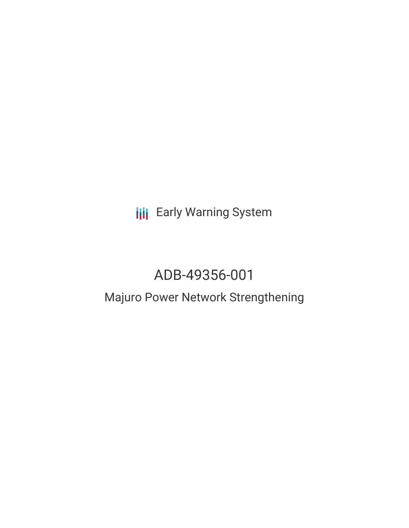**III** Early Warning System

# ADB-49356-001

## Majuro Power Network Strengthening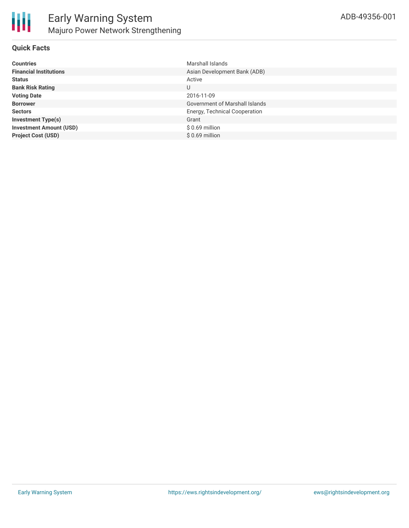

#### **Quick Facts**

| <b>Countries</b>               | Marshall Islands                      |
|--------------------------------|---------------------------------------|
| <b>Financial Institutions</b>  | Asian Development Bank (ADB)          |
| <b>Status</b>                  | Active                                |
| <b>Bank Risk Rating</b>        | U                                     |
| <b>Voting Date</b>             | 2016-11-09                            |
| <b>Borrower</b>                | <b>Government of Marshall Islands</b> |
| <b>Sectors</b>                 | Energy, Technical Cooperation         |
| <b>Investment Type(s)</b>      | Grant                                 |
| <b>Investment Amount (USD)</b> | $$0.69$ million                       |
| <b>Project Cost (USD)</b>      | $$0.69$ million                       |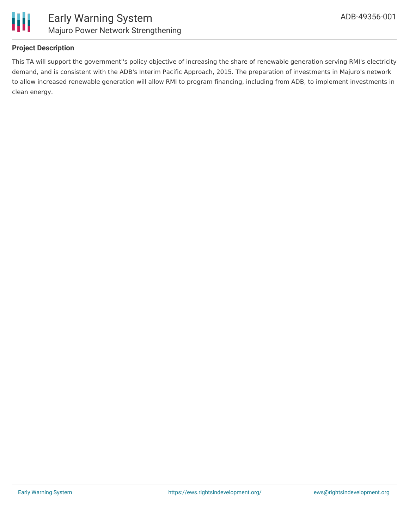

### **Project Description**

This TA will support the government''s policy objective of increasing the share of renewable generation serving RMI's electricity demand, and is consistent with the ADB's Interim Pacific Approach, 2015. The preparation of investments in Majuro's network to allow increased renewable generation will allow RMI to program financing, including from ADB, to implement investments in clean energy.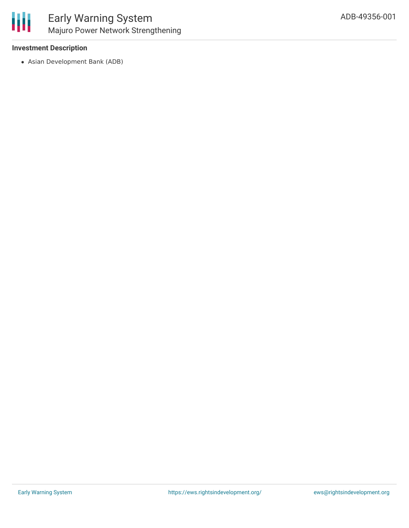#### **Investment Description**

Asian Development Bank (ADB)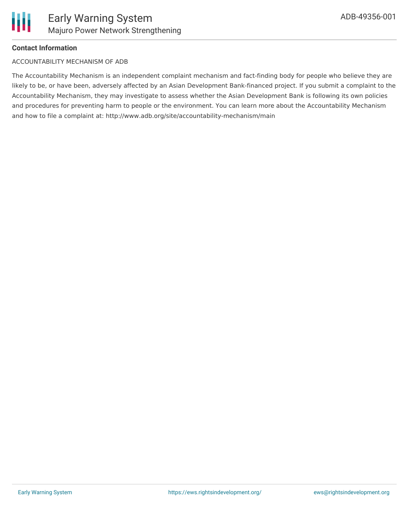

#### **Contact Information**

#### ACCOUNTABILITY MECHANISM OF ADB

The Accountability Mechanism is an independent complaint mechanism and fact-finding body for people who believe they are likely to be, or have been, adversely affected by an Asian Development Bank-financed project. If you submit a complaint to the Accountability Mechanism, they may investigate to assess whether the Asian Development Bank is following its own policies and procedures for preventing harm to people or the environment. You can learn more about the Accountability Mechanism and how to file a complaint at: http://www.adb.org/site/accountability-mechanism/main